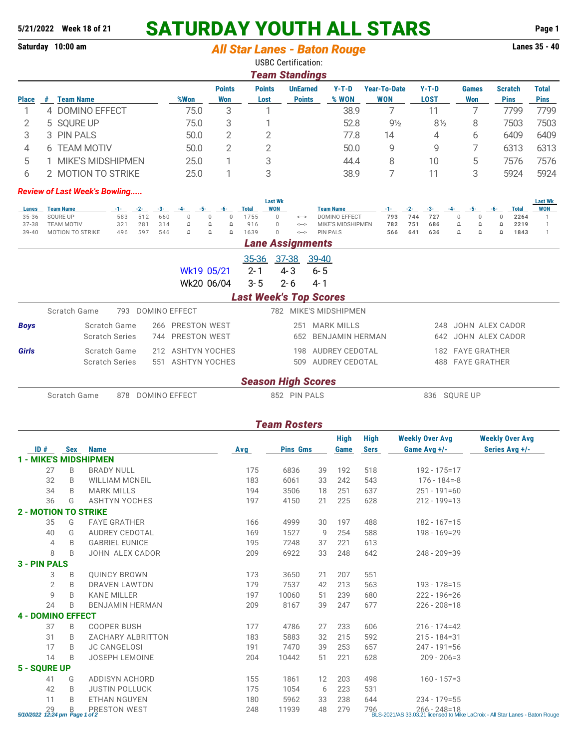## **5/21/2022 Week 18 of 21 SATURDAY YOUTH ALL STARS Page 1**

| Saturday 10:00 am                                                                                         |          |                                             |                                            |                          |                                                                                           |                                                          |               | <b>All Star Lanes - Baton Rouge</b>                                 |                 |                                           |                     |                                      |                                             |                                            | Lanes 35 - 40                |  |
|-----------------------------------------------------------------------------------------------------------|----------|---------------------------------------------|--------------------------------------------|--------------------------|-------------------------------------------------------------------------------------------|----------------------------------------------------------|---------------|---------------------------------------------------------------------|-----------------|-------------------------------------------|---------------------|--------------------------------------|---------------------------------------------|--------------------------------------------|------------------------------|--|
|                                                                                                           |          |                                             |                                            |                          |                                                                                           |                                                          |               | <b>USBC Certification:</b>                                          |                 |                                           |                     |                                      |                                             |                                            |                              |  |
|                                                                                                           |          |                                             |                                            |                          |                                                                                           |                                                          |               | <b>Team Standings</b>                                               |                 |                                           |                     |                                      |                                             |                                            |                              |  |
|                                                                                                           |          |                                             |                                            |                          |                                                                                           | <b>Points</b>                                            | <b>Points</b> |                                                                     | <b>UnEarned</b> | $Y-T-D$                                   | <b>Year-To-Date</b> | $Y-T-D$                              | <b>Games</b>                                | <b>Scratch</b>                             | <b>Total</b>                 |  |
| <b>Place</b>                                                                                              | #        | <b>Team Name</b>                            |                                            |                          | %Won                                                                                      | <b>Won</b>                                               | Lost          |                                                                     | <b>Points</b>   | % WON                                     | <b>WON</b>          | <b>LOST</b>                          | <b>Won</b>                                  | <b>Pins</b>                                | <b>Pins</b>                  |  |
| 1                                                                                                         |          | 4 DOMINO EFFECT                             |                                            |                          | 75.0                                                                                      | 3                                                        |               | 1                                                                   |                 | 38.9                                      | 7                   | 11                                   | 7                                           | 7799                                       | 7799                         |  |
| 2                                                                                                         |          | 5 SQURE UP                                  |                                            |                          | 75.0                                                                                      | 3                                                        |               | 1                                                                   |                 | 52.8                                      | $9\frac{1}{2}$      | $8\frac{1}{2}$                       | 8                                           | 7503                                       | 7503                         |  |
| 3                                                                                                         |          | 3 PIN PALS                                  |                                            |                          | 50.0                                                                                      | $\overline{2}$                                           |               | 2                                                                   |                 | 77.8                                      | 14                  | 4                                    | 6                                           | 6409                                       | 6409                         |  |
| 4                                                                                                         | 6        | <b>TEAM MOTIV</b>                           |                                            |                          | 50.0                                                                                      | $\overline{2}$                                           |               | 2                                                                   |                 | 50.0                                      | 9                   | 9                                    | 7                                           | 6313                                       | 6313                         |  |
| 5                                                                                                         | 1.       | <b>MIKE'S MIDSHIPMEN</b>                    |                                            |                          | 25.0                                                                                      | 1                                                        |               | 3                                                                   |                 | 44.4                                      | 8                   | 10                                   | 5                                           | 7576                                       | 7576                         |  |
| 6                                                                                                         |          | 2 MOTION TO STRIKE                          |                                            |                          | 25.0                                                                                      | 1                                                        |               | 3                                                                   |                 | 38.9                                      | 7                   | 11                                   | 3                                           | 5924                                       | 5924                         |  |
|                                                                                                           |          | <b>Review of Last Week's Bowling</b>        |                                            |                          |                                                                                           |                                                          |               | <b>Last Wk</b>                                                      |                 |                                           |                     |                                      |                                             |                                            | <b>Last Wk</b>               |  |
| Lanes                                                                                                     |          | <b>Team Name</b>                            | $-2-$<br>-1- 1                             | -3-                      | -5-<br>-4-                                                                                | -6-                                                      | <b>Total</b>  | <b>WON</b>                                                          |                 | <b>Team Name</b>                          | -1- 1               | $-2-$<br>-3-                         | -5-<br>-4-                                  | <b>Total</b><br>-6-                        | <b>WON</b>                   |  |
| 35-36<br>$37 - 38$                                                                                        |          | <b>SQURE UP</b><br><b>TEAM MOTIV</b>        | 583<br>321                                 | 512<br>660<br>281<br>314 | $\Box$<br>$\mathbb Q$                                                                     | $\mathbb Q$<br>$\mathbb Q$<br>$\mathbb Q$<br>$\mathbb Q$ | 1755<br>916   | $\mathbf 0$<br>$\leftarrow$<br>$\mathsf 0$<br>$\Longleftrightarrow$ |                 | <b>DOMINO EFFECT</b><br>MIKE'S MIDSHIPMEN | 793<br>782          | 744<br>727<br>751<br>686             | $\Omega$<br>$\mathbb Q$<br>$\mathbb Q$<br>Q | $\mathbb Q$<br>2264<br>$\mathbb Q$<br>2219 | $\mathbf{1}$<br>$\mathbf{1}$ |  |
| $39 - 40$                                                                                                 |          | MOTION TO STRIKE                            | 496                                        | 597<br>546               | $\mathbb Q$                                                                               | $\mathbb Q$<br>$\mathbb Q$                               | 1639          | $\overline{0}$<br>$\leftarrow$                                      |                 | <b>PIN PALS</b>                           | 566                 | 641<br>636                           | $\mathbb Q$<br>$\mathbb Q$                  | $\mathbb Q$<br>1843                        | $\mathbf{1}$                 |  |
|                                                                                                           |          |                                             |                                            |                          |                                                                                           |                                                          |               | <b>Lane Assignments</b>                                             |                 |                                           |                     |                                      |                                             |                                            |                              |  |
|                                                                                                           |          |                                             |                                            |                          |                                                                                           |                                                          | 35-36         | 37-38                                                               | 39-40           |                                           |                     |                                      |                                             |                                            |                              |  |
|                                                                                                           |          |                                             |                                            |                          | Wk19 05/21                                                                                |                                                          | $2 - 1$       | $4 - 3$                                                             | $6 - 5$         |                                           |                     |                                      |                                             |                                            |                              |  |
|                                                                                                           |          |                                             |                                            |                          | Wk20 06/04                                                                                |                                                          | $3 - 5$       | $2 - 6$                                                             | 4-1             |                                           |                     |                                      |                                             |                                            |                              |  |
|                                                                                                           |          |                                             |                                            |                          |                                                                                           |                                                          |               | <b>Last Week's Top Scores</b>                                       |                 |                                           |                     |                                      |                                             |                                            |                              |  |
|                                                                                                           |          | Scratch Game                                |                                            | 793 DOMINO EFFECT        |                                                                                           |                                                          |               | 782 MIKE'S MIDSHIPMEN                                               |                 |                                           |                     |                                      |                                             |                                            |                              |  |
| Scratch Game<br><b>PRESTON WEST</b><br><b>Boys</b><br>266<br>PRESTON WEST<br><b>Scratch Series</b><br>744 |          |                                             |                                            |                          | 251 MARK MILLS<br>JOHN ALEX CADOR<br>248<br>652 BENJAMIN HERMAN<br>642<br>JOHN ALEX CADOR |                                                          |               |                                                                     |                 |                                           |                     |                                      |                                             |                                            |                              |  |
| Scratch Game<br>212 ASHTYN YOCHES<br>Girls<br>551 ASHTYN YOCHES<br><b>Scratch Series</b>                  |          |                                             |                                            |                          |                                                                                           | 198 AUDREY CEDOTAL<br>509 AUDREY CEDOTAL                 |               |                                                                     |                 |                                           |                     | 182 FAYE GRATHER<br>488 FAYE GRATHER |                                             |                                            |                              |  |
|                                                                                                           |          |                                             |                                            |                          |                                                                                           |                                                          |               | <b>Season High Scores</b>                                           |                 |                                           |                     |                                      |                                             |                                            |                              |  |
|                                                                                                           |          | Scratch Game<br><b>DOMINO EFFECT</b><br>878 |                                            |                          |                                                                                           |                                                          |               | 852 PIN PALS                                                        |                 |                                           |                     |                                      | 836 SQURE UP                                |                                            |                              |  |
|                                                                                                           |          |                                             |                                            |                          |                                                                                           |                                                          |               |                                                                     |                 |                                           |                     |                                      |                                             |                                            |                              |  |
|                                                                                                           |          |                                             |                                            |                          |                                                                                           |                                                          |               | <b>Team Rosters</b>                                                 |                 |                                           |                     |                                      |                                             |                                            |                              |  |
|                                                                                                           |          |                                             |                                            |                          |                                                                                           |                                                          |               |                                                                     |                 | <b>High</b>                               | High                | <b>Weekly Over Avg</b>               |                                             | <b>Weekly Over Avg</b>                     |                              |  |
| ID#                                                                                                       |          | Sex<br><b>Name</b>                          |                                            |                          |                                                                                           |                                                          | Avg           | <b>Pins Gms</b>                                                     |                 | Game                                      | <b>Sers</b>         | Game Avg +/-                         |                                             | Series Avg +/-                             |                              |  |
|                                                                                                           |          | <b>1 - MIKE'S MIDSHIPMEN</b>                |                                            |                          |                                                                                           |                                                          |               |                                                                     |                 |                                           |                     |                                      |                                             |                                            |                              |  |
|                                                                                                           | 27<br>32 | B<br>B                                      | <b>BRADY NULL</b><br><b>WILLIAM MCNEIL</b> |                          |                                                                                           |                                                          | 175<br>183    | 6836<br>6061                                                        | 39<br>33        | 192<br>242                                | 518<br>543          | 192 - 175=17<br>176 - 184=-8         |                                             |                                            |                              |  |
|                                                                                                           | 34       | B                                           | <b>MARK MILLS</b>                          |                          |                                                                                           |                                                          | 194           | 3506                                                                | 18              | 251                                       | 637                 | $251 - 191 = 60$                     |                                             |                                            |                              |  |
|                                                                                                           | 36       | G                                           | <b>ASHTYN YOCHES</b>                       |                          |                                                                                           |                                                          | 197           | 4150                                                                | 21              | 225                                       | 628                 | $212 - 199 = 13$                     |                                             |                                            |                              |  |
|                                                                                                           |          | <b>2 - MOTION TO STRIKE</b>                 |                                            |                          |                                                                                           |                                                          |               |                                                                     |                 |                                           |                     |                                      |                                             |                                            |                              |  |
|                                                                                                           | 35       | G                                           | <b>FAYE GRATHER</b>                        |                          |                                                                                           |                                                          | 166           | 4999                                                                | 30              | 197                                       | 488                 | $182 - 167 = 15$                     |                                             |                                            |                              |  |
|                                                                                                           | 40       | G                                           | <b>AUDREY CEDOTAL</b>                      |                          |                                                                                           |                                                          | 169           | 1527                                                                | 9               | 254                                       | 588                 | 198 - 169=29                         |                                             |                                            |                              |  |
|                                                                                                           | 4        | B                                           | <b>GABRIEL EUNICE</b>                      |                          |                                                                                           |                                                          | 195           | 7248                                                                | 37              | 221                                       | 613                 |                                      |                                             |                                            |                              |  |
|                                                                                                           | 8        | B                                           | JOHN ALEX CADOR                            |                          |                                                                                           |                                                          | 209           | 6922                                                                | 33              | 248                                       | 642                 | 248 - 209=39                         |                                             |                                            |                              |  |
| 3 - PIN PALS                                                                                              |          |                                             |                                            |                          |                                                                                           |                                                          |               |                                                                     |                 |                                           |                     |                                      |                                             |                                            |                              |  |
|                                                                                                           | 3        | B                                           | <b>QUINCY BROWN</b>                        |                          |                                                                                           |                                                          | 173           | 3650                                                                | 21              | 207                                       | 551                 |                                      |                                             |                                            |                              |  |
|                                                                                                           | 2        | B                                           | DRAVEN LAWTON                              |                          |                                                                                           |                                                          | 179           | 7537                                                                | 42              | 213                                       | 563                 | 193 - 178 = 15                       |                                             |                                            |                              |  |
|                                                                                                           | 9<br>24  | B<br>B                                      | <b>KANE MILLER</b><br>BENJAMIN HERMAN      |                          |                                                                                           |                                                          | 197<br>209    | 10060<br>8167                                                       | 51<br>39        | 239<br>247                                | 680<br>677          | $222 - 196 = 26$<br>$226 - 208 = 18$ |                                             |                                            |                              |  |
|                                                                                                           |          | <b>4 - DOMINO EFFECT</b>                    |                                            |                          |                                                                                           |                                                          |               |                                                                     |                 |                                           |                     |                                      |                                             |                                            |                              |  |
|                                                                                                           | 37       | B                                           | <b>COOPER BUSH</b>                         |                          |                                                                                           |                                                          | 177           | 4786                                                                | 27              | 233                                       | 606                 | $216 - 174 = 42$                     |                                             |                                            |                              |  |
|                                                                                                           | 31       | B                                           | ZACHARY ALBRITTON                          |                          |                                                                                           |                                                          | 183           | 5883                                                                | 32              | 215                                       | 592                 | $215 - 184 = 31$                     |                                             |                                            |                              |  |
|                                                                                                           | 17       | B                                           | <b>JC CANGELOSI</b>                        |                          |                                                                                           |                                                          | 191           | 7470                                                                | 39              | 253                                       | 657                 | $247 - 191 = 56$                     |                                             |                                            |                              |  |
|                                                                                                           | 14       | B                                           | <b>JOSEPH LEMOINE</b>                      |                          |                                                                                           |                                                          | 204           | 10442                                                               | 51              | 221                                       | 628                 | $209 - 206 = 3$                      |                                             |                                            |                              |  |
| 5 - SQURE UP                                                                                              |          |                                             |                                            |                          |                                                                                           |                                                          |               |                                                                     |                 |                                           |                     |                                      |                                             |                                            |                              |  |
|                                                                                                           | 41       | G                                           | <b>ADDISYN ACHORD</b>                      |                          |                                                                                           |                                                          | 155           | 1861                                                                | 12              | 203                                       | 498                 | $160 - 157 = 3$                      |                                             |                                            |                              |  |

42 B JUSTIN POLLUCK 175 1054 6 223 531

11 B ETHAN NGUYEN 180 5962 33 238 644 234 - 179=55

29 B PRESTON WEST 248 11939 48 279 796 266 - 248=18 *5/10/2022 12:24 pm Page 1 of 2* BLS-2021/AS 33.03.21 licensed to Mike LaCroix - All Star Lanes - Baton Rouge